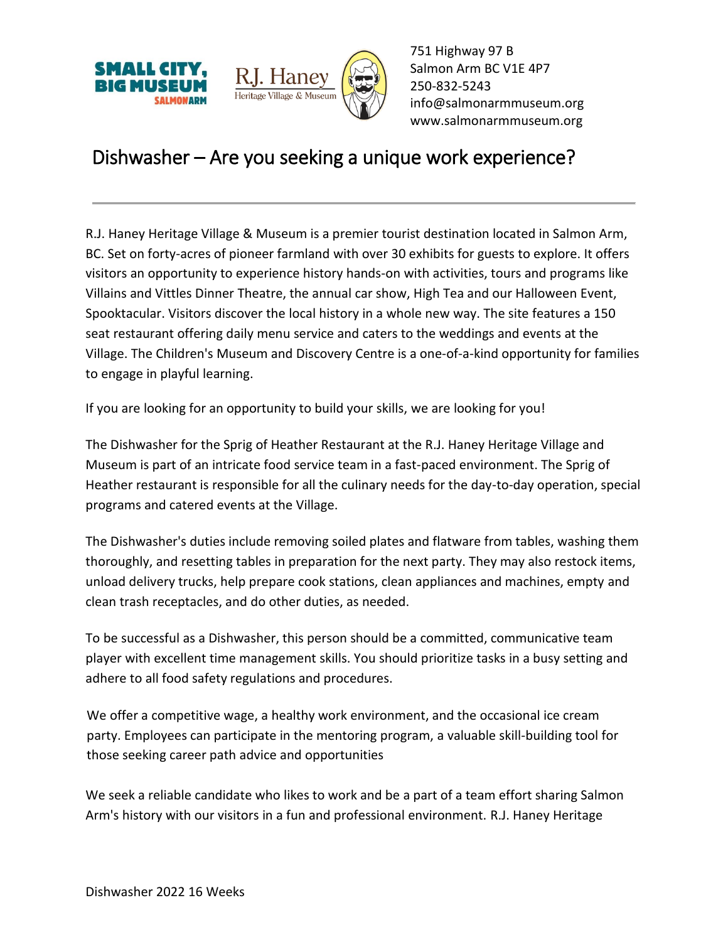



751 Highway 97 B Salmon Arm BC V1E 4P7 250-832-5243 [info@salmonarmmuseum.org](mailto:info@salmonarmmuseum.org) www.salmonarmmuseum.org

## Dishwasher – Are you seeking a unique work experience?

R.J. Haney Heritage Village & Museum is a premier tourist destination located in Salmon Arm, BC. Set on forty-acres of pioneer farmland with over 30 exhibits for guests to explore. It offers visitors an opportunity to experience history hands-on with activities, tours and programs like Villains and Vittles Dinner Theatre, the annual car show, High Tea and our Halloween Event, Spooktacular. Visitors discover the local history in a whole new way. The site features a 150 seat restaurant offering daily menu service and caters to the weddings and events at the Village. The Children's Museum and Discovery Centre is a one-of-a-kind opportunity for families to engage in playful learning.

If you are looking for an opportunity to build your skills, we are looking for you!

The Dishwasher for the Sprig of Heather Restaurant at the R.J. Haney Heritage Village and Museum is part of an intricate food service team in a fast-paced environment. The Sprig of Heather restaurant is responsible for all the culinary needs for the day-to-day operation, special programs and catered events at the Village.

The Dishwasher's duties include removing soiled plates and flatware from tables, washing them thoroughly, and resetting tables in preparation for the next party. They may also restock items, unload delivery trucks, help prepare cook stations, clean appliances and machines, empty and clean trash receptacles, and do other duties, as needed.

To be successful as a Dishwasher, this person should be a committed, communicative team player with excellent time management skills. You should prioritize tasks in a busy setting and adhere to all food safety regulations and procedures.

We offer a competitive wage, a healthy work environment, and the occasional ice cream party. Employees can participate in the mentoring program, a valuable skill-building tool for those seeking career path advice and opportunities

We seek a reliable candidate who likes to work and be a part of a team effort sharing Salmon Arm's history with our visitors in a fun and professional environment. R.J. Haney Heritage